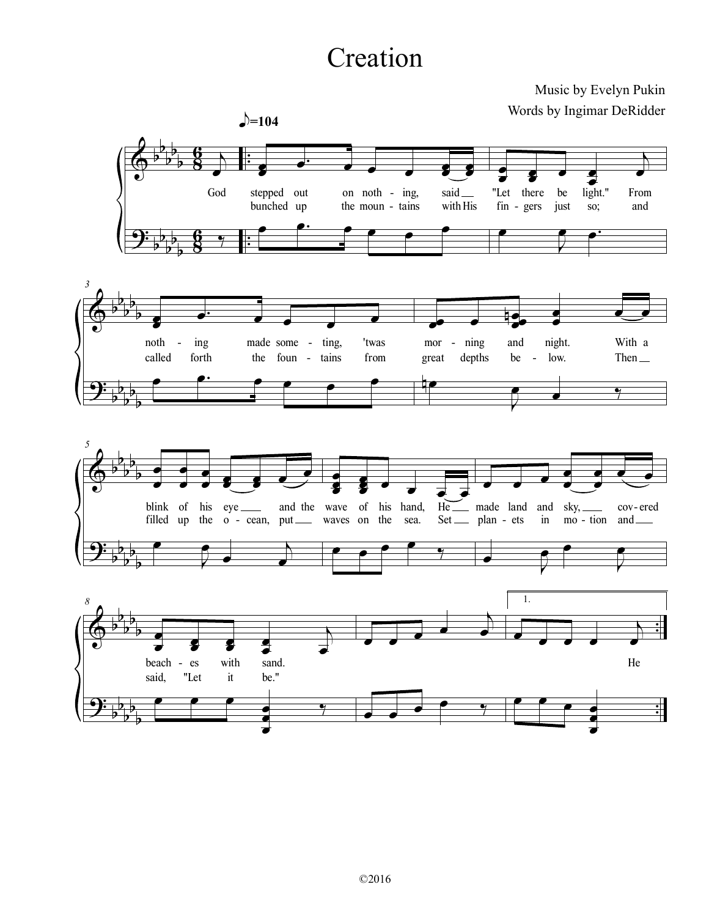## Creation

## Music by Evelyn Pukin Words by Ingimar DeRidder